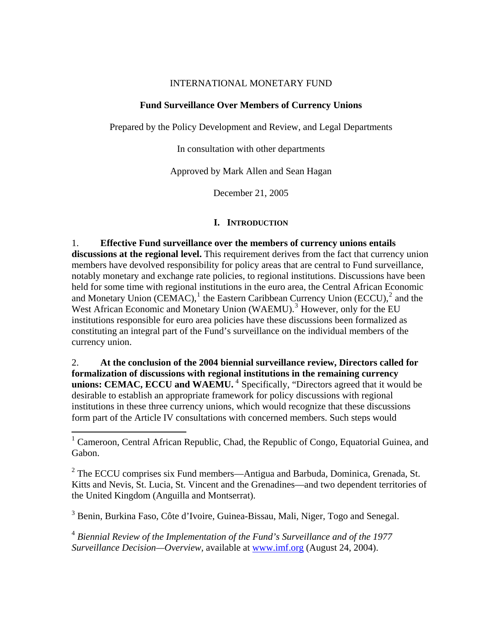## INTERNATIONAL MONETARY FUND

## **Fund Surveillance Over Members of Currency Unions**

Prepared by the Policy Development and Review, and Legal Departments

In consultation with other departments

Approved by Mark Allen and Sean Hagan

December 21, 2005

# **I. INTRODUCTION**

1. **Effective Fund surveillance over the members of currency unions entails discussions at the regional level.** This requirement derives from the fact that currency union members have devolved responsibility for policy areas that are central to Fund surveillance, notably monetary and exchange rate policies, to regional institutions. Discussions have been held for some time with regional institutions in the euro area, the Central African Economic and Monetary Union (CEMAC),<sup>[1](#page-0-0)</sup> the Eastern Caribbean Currency Union (ECCU),<sup>[2](#page-0-1)</sup> and the West African Economic and Monetary Union (WAEMU).<sup>[3](#page-0-2)</sup> However, only for the EU institutions responsible for euro area policies have these discussions been formalized as constituting an integral part of the Fund's surveillance on the individual members of the currency union.

2. **At the conclusion of the 2004 biennial surveillance review, Directors called for formalization of discussions with regional institutions in the remaining currency**  unions: CEMAC, ECCU and WAEMU.<sup>[4](#page-0-3)</sup> Specifically, "Directors agreed that it would be desirable to establish an appropriate framework for policy discussions with regional institutions in these three currency unions, which would recognize that these discussions form part of the Article IV consultations with concerned members. Such steps would

<span id="page-0-1"></span> $2^2$  The ECCU comprises six Fund members—Antigua and Barbuda, Dominica, Grenada, St. Kitts and Nevis, St. Lucia, St. Vincent and the Grenadines—and two dependent territories of the United Kingdom (Anguilla and Montserrat).

<span id="page-0-2"></span><sup>3</sup> Benin, Burkina Faso, Côte d'Ivoire, Guinea-Bissau, Mali, Niger, Togo and Senegal.

<span id="page-0-3"></span><sup>4</sup> *Biennial Review of the Implementation of the Fund's Surveillance and of the 1977 Surveillance Decision—Overview,* available at [www.imf.org](http://0-www-imf-org.library.svsu.edu/) (August 24, 2004).

<span id="page-0-0"></span><sup>&</sup>lt;sup>1</sup> Cameroon, Central African Republic, Chad, the Republic of Congo, Equatorial Guinea, and Gabon.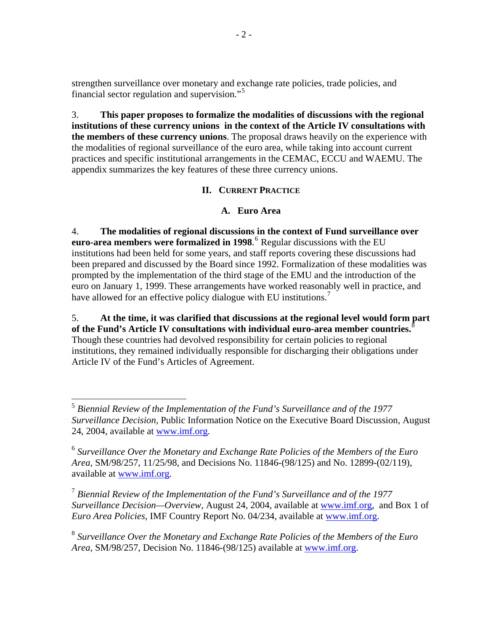strengthen surveillance over monetary and exchange rate policies, trade policies, and financial sector regulation and supervision."[5](#page-1-0)

3. **This paper proposes to formalize the modalities of discussions with the regional institutions of these currency unions in the context of the Article IV consultations with the members of these currency unions**. The proposal draws heavily on the experience with the modalities of regional surveillance of the euro area, while taking into account current practices and specific institutional arrangements in the CEMAC, ECCU and WAEMU. The appendix summarizes the key features of these three currency unions.

# **II. CURRENT PRACTICE**

# **A. Euro Area**

4. **The modalities of regional discussions in the context of Fund surveillance over euro-area members were formalized in 1998**. [6](#page-1-1) Regular discussions with the EU institutions had been held for some years, and staff reports covering these discussions had been prepared and discussed by the Board since 1992. Formalization of these modalities was prompted by the implementation of the third stage of the EMU and the introduction of the euro on January 1, 1999. These arrangements have worked reasonably well in practice, and have allowed for an effective policy dialogue with EU institutions.<sup>[7](#page-1-2)</sup>

5. **At the time, it was clarified that discussions at the regional level would form part of the Fund's Article IV consultations with individual euro-area member countries.**[8](#page-1-3) Though these countries had devolved responsibility for certain policies to regional institutions, they remained individually responsible for discharging their obligations under Article IV of the Fund's Articles of Agreement.

1

<span id="page-1-2"></span><sup>7</sup> *Biennial Review of the Implementation of the Fund's Surveillance and of the 1977 Surveillance Decision—Overview,* August 24, 2004, available at [www.imf.org,](http://0-www-imf-org.library.svsu.edu/) and Box 1 of *Euro Area Policies,* IMF Country Report No. 04/234, available at [www.imf.org](http://0-www-imf-org.library.svsu.edu/).

<span id="page-1-3"></span><sup>8</sup> *Surveillance Over the Monetary and Exchange Rate Policies of the Members of the Euro Area,* SM/98/257, Decision No. 11846-(98/125) available at [www.imf.org.](http://0-www-imf-org.library.svsu.edu/)

<span id="page-1-0"></span><sup>5</sup> *Biennial Review of the Implementation of the Fund's Surveillance and of the 1977 Surveillance Decision,* Public Information Notice on the Executive Board Discussion, August 24, 2004, available at [www.imf.org.](http://0-www-imf-org.library.svsu.edu/)

<span id="page-1-1"></span><sup>6</sup> *Surveillance Over the Monetary and Exchange Rate Policies of the Members of the Euro Area,* SM/98/257, 11/25/98, and Decisions No. 11846-(98/125) and No. 12899-(02/119), available at [www.imf.org.](http://0-www-imf-org.library.svsu.edu/)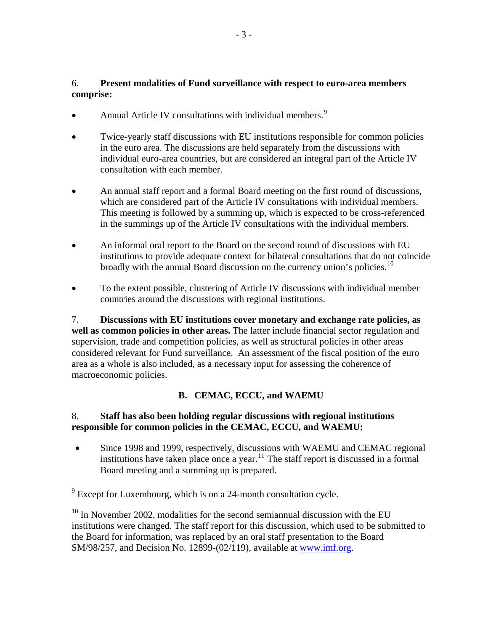# 6. **Present modalities of Fund surveillance with respect to euro-area members comprise:**

- Annual Article IV consultations with individual members.<sup>[9](#page-2-0)</sup>
- Twice-yearly staff discussions with EU institutions responsible for common policies in the euro area. The discussions are held separately from the discussions with individual euro-area countries, but are considered an integral part of the Article IV consultation with each member.
- An annual staff report and a formal Board meeting on the first round of discussions, which are considered part of the Article IV consultations with individual members. This meeting is followed by a summing up, which is expected to be cross-referenced in the summings up of the Article IV consultations with the individual members.
- An informal oral report to the Board on the second round of discussions with EU institutions to provide adequate context for bilateral consultations that do not coincide broadly with the annual Board discussion on the currency union's policies.<sup>[10](#page-2-1)</sup>
- To the extent possible, clustering of Article IV discussions with individual member countries around the discussions with regional institutions.

7. **Discussions with EU institutions cover monetary and exchange rate policies, as well as common policies in other areas.** The latter include financial sector regulation and supervision, trade and competition policies, as well as structural policies in other areas considered relevant for Fund surveillance. An assessment of the fiscal position of the euro area as a whole is also included, as a necessary input for assessing the coherence of macroeconomic policies.

# **B. CEMAC, ECCU, and WAEMU**

# <span id="page-2-2"></span>8. **Staff has also been holding regular discussions with regional institutions responsible for common policies in the CEMAC, ECCU, and WAEMU:**

Since 1998 and 1999, respectively, discussions with WAEMU and CEMAC regional institutions have taken place once a year.<sup>[11](#page-2-2)</sup> The staff report is discussed in a formal Board meeting and a summing up is prepared.

<span id="page-2-0"></span><sup>&</sup>lt;sup>9</sup> Except for Luxembourg, which is on a 24-month consultation cycle.

<span id="page-2-1"></span> $10$  In November 2002, modalities for the second semiannual discussion with the EU institutions were changed. The staff report for this discussion, which used to be submitted to the Board for information, was replaced by an oral staff presentation to the Board SM/98/257, and Decision No. 12899-(02/119), available at [www.imf.org.](http://0-www-imf-org.library.svsu.edu/)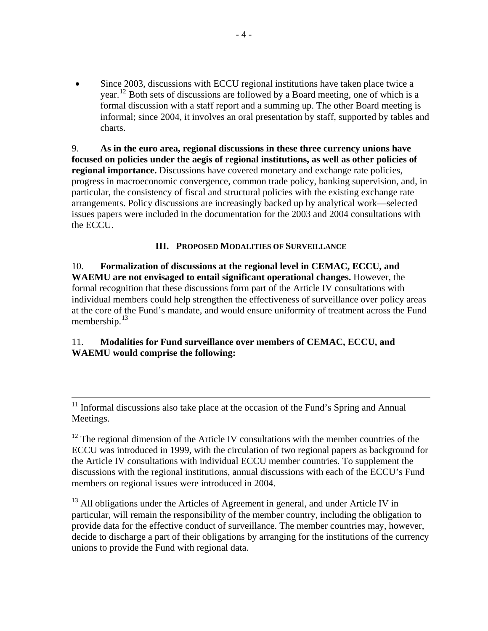• Since 2003, discussions with ECCU regional institutions have taken place twice a year.[12](#page-3-0) Both sets of discussions are followed by a Board meeting, one of which is a formal discussion with a staff report and a summing up. The other Board meeting is informal; since 2004, it involves an oral presentation by staff, supported by tables and charts.

9. **As in the euro area, regional discussions in these three currency unions have focused on policies under the aegis of regional institutions, as well as other policies of regional importance.** Discussions have covered monetary and exchange rate policies, progress in macroeconomic convergence, common trade policy, banking supervision, and, in particular, the consistency of fiscal and structural policies with the existing exchange rate arrangements. Policy discussions are increasingly backed up by analytical work—selected issues papers were included in the documentation for the 2003 and 2004 consultations with the ECCU.

## **III. PROPOSED MODALITIES OF SURVEILLANCE**

10. **Formalization of discussions at the regional level in CEMAC, ECCU, and WAEMU are not envisaged to entail significant operational changes.** However, the formal recognition that these discussions form part of the Article IV consultations with individual members could help strengthen the effectiveness of surveillance over policy areas at the core of the Fund's mandate, and would ensure uniformity of treatment across the Fund membership. $13$ 

# 11. **Modalities for Fund surveillance over members of CEMAC, ECCU, and WAEMU would comprise the following:**

<span id="page-3-1"></span><sup>13</sup> All obligations under the Articles of Agreement in general, and under Article IV in particular, will remain the responsibility of the member country, including the obligation to provide data for the effective conduct of surveillance. The member countries may, however, decide to discharge a part of their obligations by arranging for the institutions of the currency unions to provide the Fund with regional data.

 <sup>11</sup> Informal discussions also take place at the occasion of the Fund's Spring and Annual Meetings.

<span id="page-3-0"></span> $12$  The regional dimension of the Article IV consultations with the member countries of the ECCU was introduced in 1999, with the circulation of two regional papers as background for the Article IV consultations with individual ECCU member countries. To supplement the discussions with the regional institutions, annual discussions with each of the ECCU's Fund members on regional issues were introduced in 2004.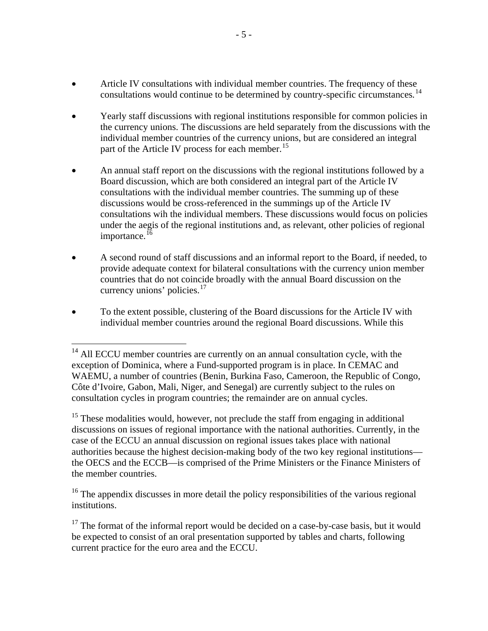- Article IV consultations with individual member countries. The frequency of these consultations would continue to be determined by country-specific circumstances*.* [14](#page-4-0)
- Yearly staff discussions with regional institutions responsible for common policies in the currency unions. The discussions are held separately from the discussions with the individual member countries of the currency unions, but are considered an integral part of the Article IV process for each member.<sup>[15](#page-4-1)</sup>
- An annual staff report on the discussions with the regional institutions followed by a Board discussion, which are both considered an integral part of the Article IV consultations with the individual member countries. The summing up of these discussions would be cross-referenced in the summings up of the Article IV consultations wih the individual members. These discussions would focus on policies under the aegis of the regional institutions and, as relevant, other policies of regional importance.<sup>[16](#page-4-2)</sup>
- A second round of staff discussions and an informal report to the Board, if needed, to provide adequate context for bilateral consultations with the currency union member countries that do not coincide broadly with the annual Board discussion on the currency unions' policies. $17$
- To the extent possible, clustering of the Board discussions for the Article IV with individual member countries around the regional Board discussions. While this

 $\overline{a}$ 

<span id="page-4-1"></span><sup>15</sup> These modalities would, however, not preclude the staff from engaging in additional discussions on issues of regional importance with the national authorities. Currently, in the case of the ECCU an annual discussion on regional issues takes place with national authorities because the highest decision-making body of the two key regional institutions the OECS and the ECCB—is comprised of the Prime Ministers or the Finance Ministers of the member countries.

<span id="page-4-2"></span> $16$  The appendix discusses in more detail the policy responsibilities of the various regional institutions.

<span id="page-4-3"></span> $17$  The format of the informal report would be decided on a case-by-case basis, but it would be expected to consist of an oral presentation supported by tables and charts, following current practice for the euro area and the ECCU.

<span id="page-4-0"></span> $14$  All ECCU member countries are currently on an annual consultation cycle, with the exception of Dominica, where a Fund-supported program is in place. In CEMAC and WAEMU, a number of countries (Benin, Burkina Faso, Cameroon, the Republic of Congo, Côte d'Ivoire, Gabon, Mali, Niger, and Senegal) are currently subject to the rules on consultation cycles in program countries; the remainder are on annual cycles.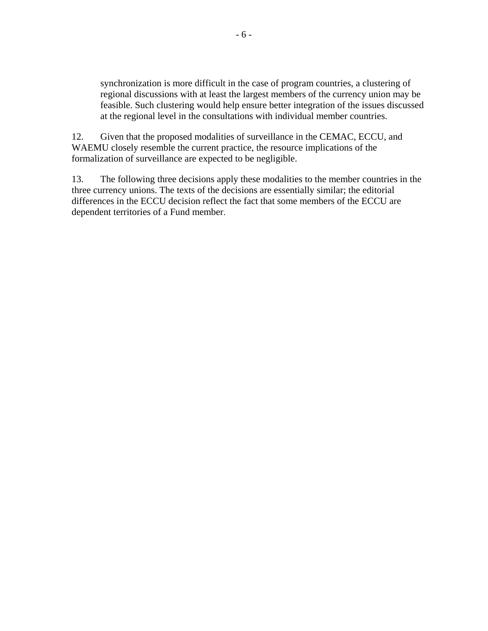synchronization is more difficult in the case of program countries, a clustering of regional discussions with at least the largest members of the currency union may be feasible. Such clustering would help ensure better integration of the issues discussed at the regional level in the consultations with individual member countries.

12. Given that the proposed modalities of surveillance in the CEMAC, ECCU, and WAEMU closely resemble the current practice, the resource implications of the formalization of surveillance are expected to be negligible.

13. The following three decisions apply these modalities to the member countries in the three currency unions. The texts of the decisions are essentially similar; the editorial differences in the ECCU decision reflect the fact that some members of the ECCU are dependent territories of a Fund member.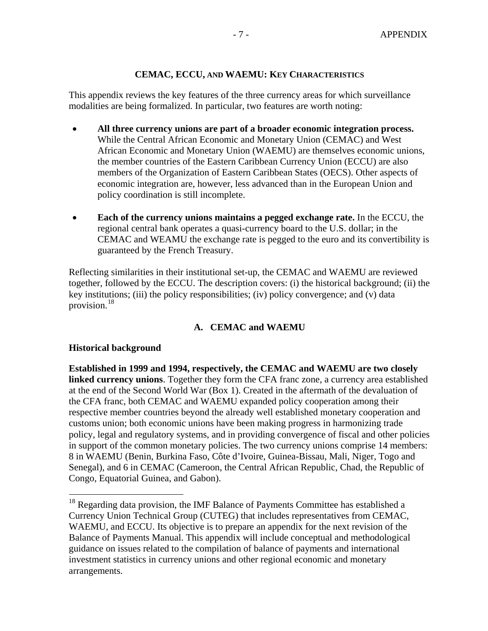#### **CEMAC, ECCU, AND WAEMU: KEY CHARACTERISTICS**

This appendix reviews the key features of the three currency areas for which surveillance modalities are being formalized. In particular, two features are worth noting:

- **All three currency unions are part of a broader economic integration process.**  While the Central African Economic and Monetary Union (CEMAC) and West African Economic and Monetary Union (WAEMU) are themselves economic unions, the member countries of the Eastern Caribbean Currency Union (ECCU) are also members of the Organization of Eastern Caribbean States (OECS). Other aspects of economic integration are, however, less advanced than in the European Union and policy coordination is still incomplete.
- **Each of the currency unions maintains a pegged exchange rate.** In the ECCU, the regional central bank operates a quasi-currency board to the U.S. dollar; in the CEMAC and WEAMU the exchange rate is pegged to the euro and its convertibility is guaranteed by the French Treasury.

Reflecting similarities in their institutional set-up, the CEMAC and WAEMU are reviewed together, followed by the ECCU. The description covers: (i) the historical background; (ii) the key institutions; (iii) the policy responsibilities; (iv) policy convergence; and (v) data provision.[18](#page-6-0)

#### **A. CEMAC and WAEMU**

#### **Historical background**

 $\overline{a}$ 

**Established in 1999 and 1994, respectively, the CEMAC and WAEMU are two closely linked currency unions**. Together they form the CFA franc zone, a currency area established at the end of the Second World War (Box 1). Created in the aftermath of the devaluation of the CFA franc, both CEMAC and WAEMU expanded policy cooperation among their respective member countries beyond the already well established monetary cooperation and customs union; both economic unions have been making progress in harmonizing trade policy, legal and regulatory systems, and in providing convergence of fiscal and other policies in support of the common monetary policies. The two currency unions comprise 14 members: 8 in WAEMU (Benin, Burkina Faso, Côte d'Ivoire, Guinea-Bissau, Mali, Niger, Togo and Senegal), and 6 in CEMAC (Cameroon, the Central African Republic, Chad, the Republic of Congo, Equatorial Guinea, and Gabon).

<span id="page-6-0"></span><sup>&</sup>lt;sup>18</sup> Regarding data provision, the IMF Balance of Payments Committee has established a Currency Union Technical Group (CUTEG) that includes representatives from CEMAC, WAEMU, and ECCU. Its objective is to prepare an appendix for the next revision of the Balance of Payments Manual. This appendix will include conceptual and methodological guidance on issues related to the compilation of balance of payments and international investment statistics in currency unions and other regional economic and monetary arrangements.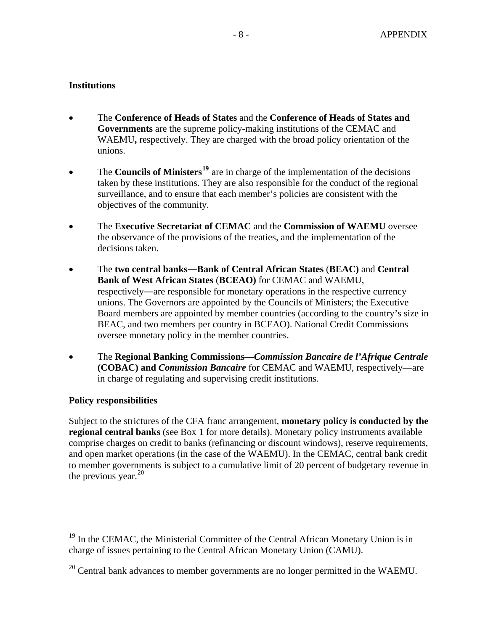# **Institutions**

- The **Conference of Heads of States** and the **Conference of Heads of States and Governments** are the supreme policy-making institutions of the CEMAC and WAEMU**,** respectively. They are charged with the broad policy orientation of the unions.
- The **Councils of Ministers<sup>[19](#page-7-0)</sup>** are in charge of the implementation of the decisions taken by these institutions. They are also responsible for the conduct of the regional surveillance, and to ensure that each member's policies are consistent with the objectives of the community.
- The **Executive Secretariat of CEMAC** and the **Commission of WAEMU** oversee the observance of the provisions of the treaties, and the implementation of the decisions taken.
- The **two central banks**―**Bank of Central African States** (**BEAC)** and **Central Bank of West African States** (**BCEAO)** for CEMAC and WAEMU, respectively―are responsible for monetary operations in the respective currency unions. The Governors are appointed by the Councils of Ministers; the Executive Board members are appointed by member countries (according to the country's size in BEAC, and two members per country in BCEAO). National Credit Commissions oversee monetary policy in the member countries.
- The **Regional Banking Commissions—***Commission Bancaire de l'Afrique Centrale* **(COBAC) and** *Commission Bancaire* for CEMAC and WAEMU, respectively—are in charge of regulating and supervising credit institutions.

#### **Policy responsibilities**

 $\overline{a}$ 

Subject to the strictures of the CFA franc arrangement, **monetary policy is conducted by the regional central banks** (see Box 1 for more details). Monetary policy instruments available comprise charges on credit to banks (refinancing or discount windows), reserve requirements, and open market operations (in the case of the WAEMU). In the CEMAC, central bank credit to member governments is subject to a cumulative limit of 20 percent of budgetary revenue in the previous year.  $20$ 

<span id="page-7-0"></span><sup>&</sup>lt;sup>19</sup> In the CEMAC, the Ministerial Committee of the Central African Monetary Union is in charge of issues pertaining to the Central African Monetary Union (CAMU).

<span id="page-7-1"></span> $20$  Central bank advances to member governments are no longer permitted in the WAEMU.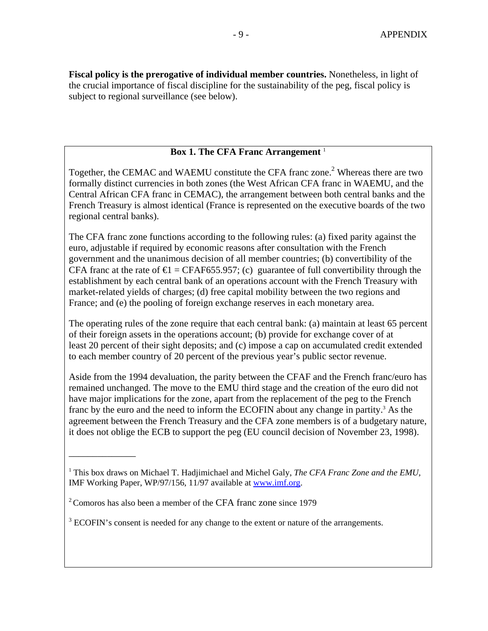**Fiscal policy is the prerogative of individual member countries.** Nonetheless, in light of the crucial importance of fiscal discipline for the sustainability of the peg, fiscal policy is subject to regional surveillance (see below).

## **Box 1. The CFA Franc Arrangement** <sup>1</sup>

Together, the CEMAC and WAEMU constitute the CFA franc zone.<sup>2</sup> Whereas there are two formally distinct currencies in both zones (the West African CFA franc in WAEMU, and the Central African CFA franc in CEMAC), the arrangement between both central banks and the French Treasury is almost identical (France is represented on the executive boards of the two regional central banks).

The CFA franc zone functions according to the following rules: (a) fixed parity against the euro, adjustable if required by economic reasons after consultation with the French government and the unanimous decision of all member countries; (b) convertibility of the CFA franc at the rate of  $\epsilon$  = CFAF655.957; (c) guarantee of full convertibility through the establishment by each central bank of an operations account with the French Treasury with market-related yields of charges; (d) free capital mobility between the two regions and France; and (e) the pooling of foreign exchange reserves in each monetary area.

The operating rules of the zone require that each central bank: (a) maintain at least 65 percent of their foreign assets in the operations account; (b) provide for exchange cover of at least 20 percent of their sight deposits; and (c) impose a cap on accumulated credit extended to each member country of 20 percent of the previous year's public sector revenue.

Aside from the 1994 devaluation, the parity between the CFAF and the French franc/euro has remained unchanged. The move to the EMU third stage and the creation of the euro did not have major implications for the zone, apart from the replacement of the peg to the French franc by the euro and the need to inform the ECOFIN about any change in partity.<sup>3</sup> As the agreement between the French Treasury and the CFA zone members is of a budgetary nature, it does not oblige the ECB to support the peg (EU council decision of November 23, 1998).

\_\_\_\_\_\_\_\_\_\_\_\_\_\_

<sup>1</sup> This box draws on Michael T. Hadjimichael and Michel Galy, *The CFA Franc Zone and the EMU,*  IMF Working Paper, WP/97/156, 11/97 available at [www.imf.org](http://0-www-imf-org.library.svsu.edu/).

<sup>2</sup> Comoros has also been a member of the CFA franc zone since 1979

 $3$  ECOFIN's consent is needed for any change to the extent or nature of the arrangements.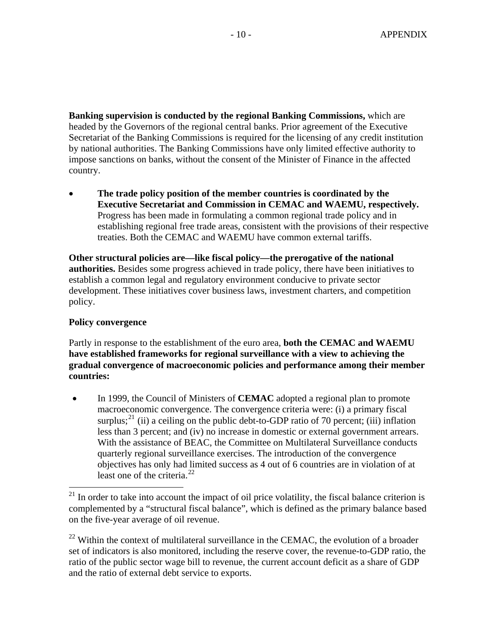**Banking supervision is conducted by the regional Banking Commissions,** which are headed by the Governors of the regional central banks. Prior agreement of the Executive Secretariat of the Banking Commissions is required for the licensing of any credit institution by national authorities. The Banking Commissions have only limited effective authority to impose sanctions on banks, without the consent of the Minister of Finance in the affected country.

• **The trade policy position of the member countries is coordinated by the Executive Secretariat and Commission in CEMAC and WAEMU, respectively.** Progress has been made in formulating a common regional trade policy and in establishing regional free trade areas, consistent with the provisions of their respective treaties. Both the CEMAC and WAEMU have common external tariffs.

**Other structural policies are—like fiscal policy—the prerogative of the national authorities.** Besides some progress achieved in trade policy, there have been initiatives to establish a common legal and regulatory environment conducive to private sector development. These initiatives cover business laws, investment charters, and competition policy.

# **Policy convergence**

 $\overline{a}$ 

Partly in response to the establishment of the euro area, **both the CEMAC and WAEMU have established frameworks for regional surveillance with a view to achieving the gradual convergence of macroeconomic policies and performance among their member countries:** 

• In 1999, the Council of Ministers of **CEMAC** adopted a regional plan to promote macroeconomic convergence. The convergence criteria were: (i) a primary fiscal surplus;<sup>[21](#page-9-0)</sup> (ii) a ceiling on the public debt-to-GDP ratio of 70 percent; (iii) inflation less than 3 percent; and (iv) no increase in domestic or external government arrears. With the assistance of BEAC, the Committee on Multilateral Surveillance conducts quarterly regional surveillance exercises. The introduction of the convergence objectives has only had limited success as 4 out of 6 countries are in violation of at least one of the criteria. $^{22}$  $^{22}$  $^{22}$ 

<span id="page-9-0"></span> $21$  In order to take into account the impact of oil price volatility, the fiscal balance criterion is complemented by a "structural fiscal balance", which is defined as the primary balance based on the five-year average of oil revenue.

<span id="page-9-1"></span> $22$  Within the context of multilateral surveillance in the CEMAC, the evolution of a broader set of indicators is also monitored, including the reserve cover, the revenue-to-GDP ratio, the ratio of the public sector wage bill to revenue, the current account deficit as a share of GDP and the ratio of external debt service to exports.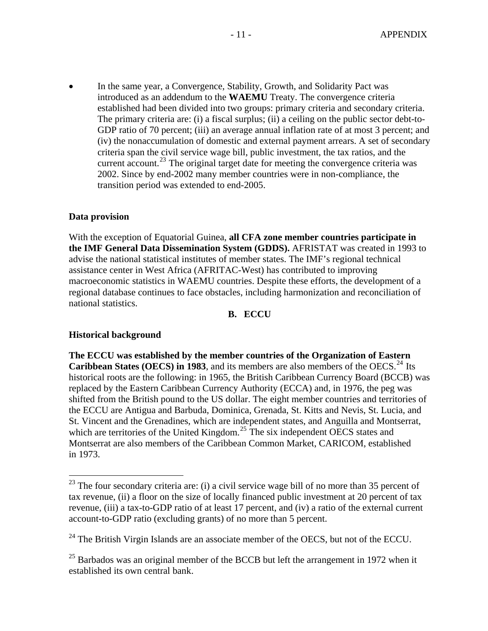In the same year, a Convergence, Stability, Growth, and Solidarity Pact was introduced as an addendum to the **WAEMU** Treaty. The convergence criteria established had been divided into two groups: primary criteria and secondary criteria. The primary criteria are: (i) a fiscal surplus; (ii) a ceiling on the public sector debt-to-GDP ratio of 70 percent; (iii) an average annual inflation rate of at most 3 percent; and (iv) the nonaccumulation of domestic and external payment arrears. A set of secondary criteria span the civil service wage bill, public investment, the tax ratios, and the current account.<sup>[23](#page-10-0)</sup> The original target date for meeting the convergence criteria was 2002. Since by end-2002 many member countries were in non-compliance, the transition period was extended to end-2005.

#### **Data provision**

With the exception of Equatorial Guinea, **all CFA zone member countries participate in the IMF General Data Dissemination System (GDDS).** AFRISTAT was created in 1993 to advise the national statistical institutes of member states. The IMF's regional technical assistance center in West Africa (AFRITAC-West) has contributed to improving macroeconomic statistics in WAEMU countries. Despite these efforts, the development of a regional database continues to face obstacles, including harmonization and reconciliation of national statistics.

#### **B. ECCU**

#### **Historical background**

 $\overline{a}$ 

**The ECCU was established by the member countries of the Organization of Eastern Caribbean States (OECS) in 1983**, and its members are also members of the OECS.<sup>[24](#page-10-1)</sup> Its historical roots are the following: in 1965, the British Caribbean Currency Board (BCCB) was replaced by the Eastern Caribbean Currency Authority (ECCA) and, in 1976, the peg was shifted from the British pound to the US dollar. The eight member countries and territories of the ECCU are Antigua and Barbuda, Dominica, Grenada, St. Kitts and Nevis, St. Lucia, and St. Vincent and the Grenadines, which are independent states, and Anguilla and Montserrat, which are territories of the United Kingdom.<sup>[25](#page-10-2)</sup> The six independent OECS states and Montserrat are also members of the Caribbean Common Market, CARICOM, established in 1973.

<span id="page-10-0"></span> $^{23}$  The four secondary criteria are: (i) a civil service wage bill of no more than 35 percent of tax revenue, (ii) a floor on the size of locally financed public investment at 20 percent of tax revenue, (iii) a tax-to-GDP ratio of at least 17 percent, and (iv) a ratio of the external current account-to-GDP ratio (excluding grants) of no more than 5 percent.

<span id="page-10-1"></span> $24$  The British Virgin Islands are an associate member of the OECS, but not of the ECCU.

<span id="page-10-2"></span> $^{25}$  Barbados was an original member of the BCCB but left the arrangement in 1972 when it established its own central bank.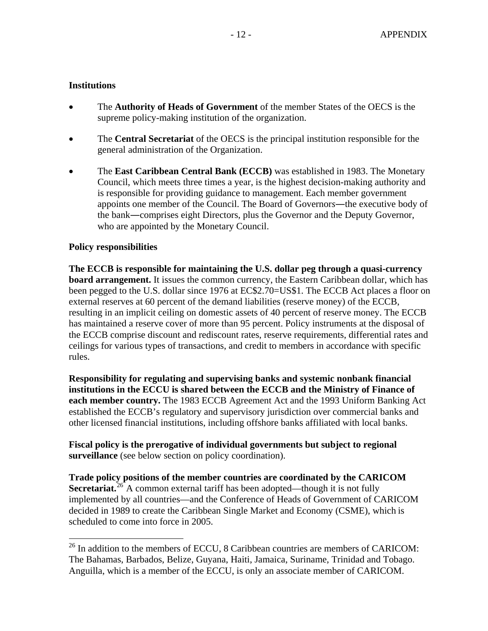## **Institutions**

- The **Authority of Heads of Government** of the member States of the OECS is the supreme policy-making institution of the organization.
- The **Central Secretariat** of the OECS is the principal institution responsible for the general administration of the Organization.
- The **East Caribbean Central Bank (ECCB)** was established in 1983. The Monetary Council, which meets three times a year, is the highest decision-making authority and is responsible for providing guidance to management. Each member government appoints one member of the Council. The Board of Governor*s*―the executive body of the bank―comprises eight Directors, plus the Governor and the Deputy Governor, who are appointed by the Monetary Council.

## **Policy responsibilities**

 $\overline{a}$ 

**The ECCB is responsible for maintaining the U.S. dollar peg through a quasi-currency board arrangement.** It issues the common currency, the Eastern Caribbean dollar, which has been pegged to the U.S. dollar since 1976 at EC\$2.70=US\$1. The ECCB Act places a floor on external reserves at 60 percent of the demand liabilities (reserve money) of the ECCB, resulting in an implicit ceiling on domestic assets of 40 percent of reserve money. The ECCB has maintained a reserve cover of more than 95 percent. Policy instruments at the disposal of the ECCB comprise discount and rediscount rates, reserve requirements, differential rates and ceilings for various types of transactions, and credit to members in accordance with specific rules.

**Responsibility for regulating and supervising banks and systemic nonbank financial institutions in the ECCU is shared between the ECCB and the Ministry of Finance of each member country.** The 1983 ECCB Agreement Act and the 1993 Uniform Banking Act established the ECCB's regulatory and supervisory jurisdiction over commercial banks and other licensed financial institutions, including offshore banks affiliated with local banks.

**Fiscal policy is the prerogative of individual governments but subject to regional surveillance** (see below section on policy coordination).

**Trade policy positions of the member countries are coordinated by the CARICOM Secretariat.**<sup>[26](#page-11-0)</sup> A common external tariff has been adopted—though it is not fully implemented by all countries—and the Conference of Heads of Government of CARICOM decided in 1989 to create the Caribbean Single Market and Economy (CSME), which is scheduled to come into force in 2005.

<span id="page-11-0"></span> $^{26}$  In addition to the members of ECCU, 8 Caribbean countries are members of CARICOM: The Bahamas, Barbados, Belize, Guyana, Haiti, Jamaica, Suriname, Trinidad and Tobago. Anguilla, which is a member of the ECCU, is only an associate member of CARICOM.